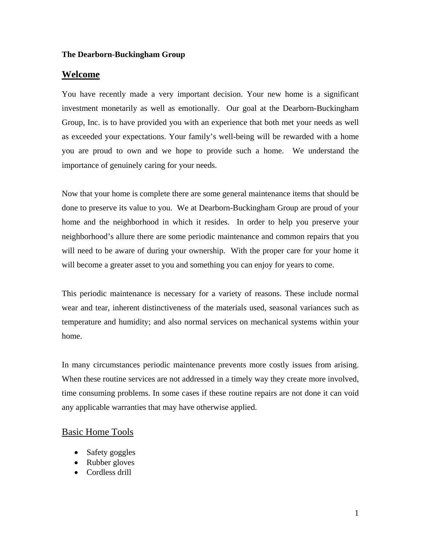#### **Welcome**

You have recently made a very important decision. Your new home is a significant investment monetarily as well as emotionally. Our goal at the Dearborn-Buckingham Group, Inc. is to have provided you with an experience that both met your needs as well as exceeded your expectations. Your family's well-being will be rewarded with a home you are proud to own and we hope to provide such a home. We understand the importance of genuinely caring for your needs.

Now that your home is complete there are some general maintenance items that should be done to preserve its value to you. We at Dearborn-Buckingham Group are proud of your home and the neighborhood in which it resides. In order to help you preserve your neighborhood's allure there are some periodic maintenance and common repairs that you will need to be aware of during your ownership. With the proper care for your home it will become a greater asset to you and something you can enjoy for years to come.

This periodic maintenance is necessary for a variety of reasons. These include normal wear and tear, inherent distinctiveness of the materials used, seasonal variances such as temperature and humidity; and also normal services on mechanical systems within your home.

In many circumstances periodic maintenance prevents more costly issues from arising. When these routine services are not addressed in a timely way they create more involved, time consuming problems. In some cases if these routine repairs are not done it can void any applicable warranties that may have otherwise applied.

# Basic Home Tools

- Safety goggles
- Rubber gloves
- Cordless drill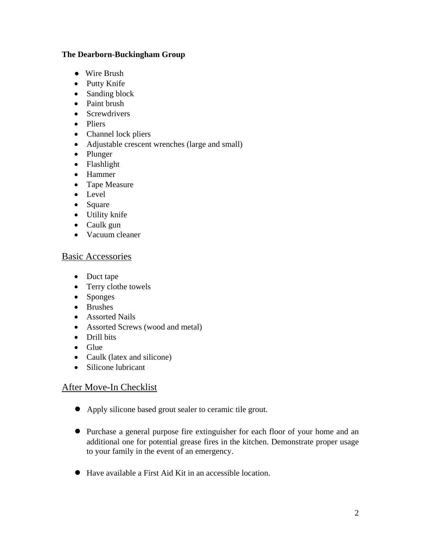- Wire Brush
- Putty Knife
- Sanding block
- Paint brush
- Screwdrivers
- Pliers
- Channel lock pliers
- Adjustable crescent wrenches (large and small)
- Plunger
- Flashlight
- Hammer
- Tape Measure
- Level
- Square
- Utility knife
- Caulk gun
- Vacuum cleaner

# Basic Accessories

- Duct tape
- Terry clothe towels
- Sponges
- Brushes
- Assorted Nails
- Assorted Screws (wood and metal)
- Drill bits
- Glue
- Caulk (latex and silicone)
- Silicone lubricant

# After Move-In Checklist

- Apply silicone based grout sealer to ceramic tile grout.
- Purchase a general purpose fire extinguisher for each floor of your home and an additional one for potential grease fires in the kitchen. Demonstrate proper usage to your family in the event of an emergency.
- Have available a First Aid Kit in an accessible location.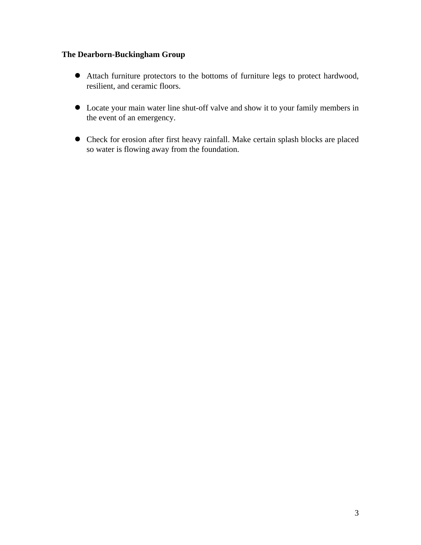- Attach furniture protectors to the bottoms of furniture legs to protect hardwood, resilient, and ceramic floors.
- Locate your main water line shut-off valve and show it to your family members in the event of an emergency.
- Check for erosion after first heavy rainfall. Make certain splash blocks are placed so water is flowing away from the foundation.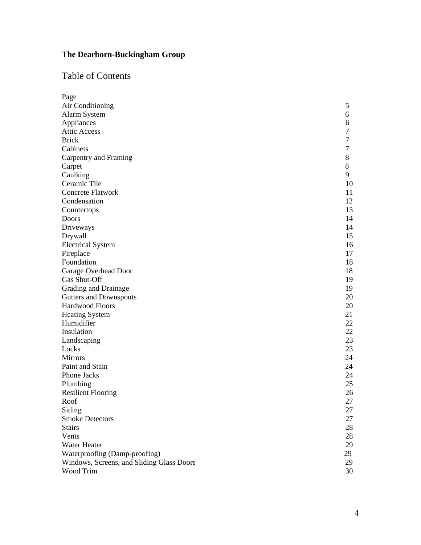# Table of Contents

| Page                                      |                  |
|-------------------------------------------|------------------|
| Air Conditioning                          | 5                |
| Alarm System                              | 6                |
| Appliances                                | 6                |
| <b>Attic Access</b>                       | 7                |
| <b>Brick</b>                              | $\boldsymbol{7}$ |
| Cabinets                                  | 7                |
| Carpentry and Framing                     | 8                |
| Carpet                                    | $8\,$            |
| Caulking                                  | 9                |
| Ceramic Tile                              | 10               |
| <b>Concrete Flatwork</b>                  | 11               |
| Condensation                              | 12               |
| Countertops                               | 13               |
| Doors                                     | 14               |
| Driveways                                 | 14               |
| Drywall                                   | 15               |
| <b>Electrical System</b>                  | 16               |
| Fireplace                                 | 17               |
| Foundation                                | 18               |
| Garage Overhead Door                      | 18               |
| Gas Shut-Off                              | 19               |
| Grading and Drainage                      | 19               |
| <b>Gutters and Downspouts</b>             | 20               |
| Hardwood Floors                           | 20               |
| <b>Heating System</b>                     | 21               |
| Humidifier                                | 22               |
| Insulation                                | 22               |
| Landscaping                               | 23               |
| Locks                                     | 23               |
| <b>Mirrors</b>                            | 24               |
| Paint and Stain                           | 24               |
| Phone Jacks                               | 24               |
| Plumbing                                  | 25               |
| <b>Resilient Flooring</b>                 | 26               |
| Roof                                      | 27               |
| Siding                                    | 27               |
| <b>Smoke Detectors</b>                    | 27               |
| <b>Stairs</b>                             | 28               |
| Vents                                     | 28               |
| Water Heater                              | 29               |
| Waterproofing (Damp-proofing)             | 29               |
| Windows, Screens, and Sliding Glass Doors | 29               |
| Wood Trim                                 | 30               |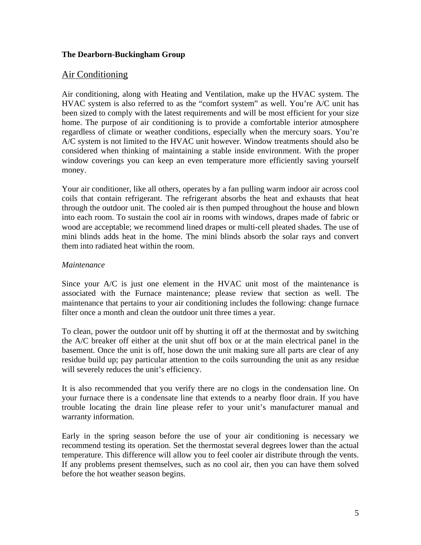# Air Conditioning

Air conditioning, along with Heating and Ventilation, make up the HVAC system. The HVAC system is also referred to as the "comfort system" as well. You're A/C unit has been sized to comply with the latest requirements and will be most efficient for your size home. The purpose of air conditioning is to provide a comfortable interior atmosphere regardless of climate or weather conditions, especially when the mercury soars. You're A/C system is not limited to the HVAC unit however. Window treatments should also be considered when thinking of maintaining a stable inside environment. With the proper window coverings you can keep an even temperature more efficiently saving yourself money.

Your air conditioner, like all others, operates by a fan pulling warm indoor air across cool coils that contain refrigerant. The refrigerant absorbs the heat and exhausts that heat through the outdoor unit. The cooled air is then pumped throughout the house and blown into each room. To sustain the cool air in rooms with windows, drapes made of fabric or wood are acceptable; we recommend lined drapes or multi-cell pleated shades. The use of mini blinds adds heat in the home. The mini blinds absorb the solar rays and convert them into radiated heat within the room.

#### *Maintenance*

Since your A/C is just one element in the HVAC unit most of the maintenance is associated with the Furnace maintenance; please review that section as well. The maintenance that pertains to your air conditioning includes the following: change furnace filter once a month and clean the outdoor unit three times a year.

To clean, power the outdoor unit off by shutting it off at the thermostat and by switching the A/C breaker off either at the unit shut off box or at the main electrical panel in the basement. Once the unit is off, hose down the unit making sure all parts are clear of any residue build up; pay particular attention to the coils surrounding the unit as any residue will severely reduces the unit's efficiency.

It is also recommended that you verify there are no clogs in the condensation line. On your furnace there is a condensate line that extends to a nearby floor drain. If you have trouble locating the drain line please refer to your unit's manufacturer manual and warranty information.

Early in the spring season before the use of your air conditioning is necessary we recommend testing its operation. Set the thermostat several degrees lower than the actual temperature. This difference will allow you to feel cooler air distribute through the vents. If any problems present themselves, such as no cool air, then you can have them solved before the hot weather season begins.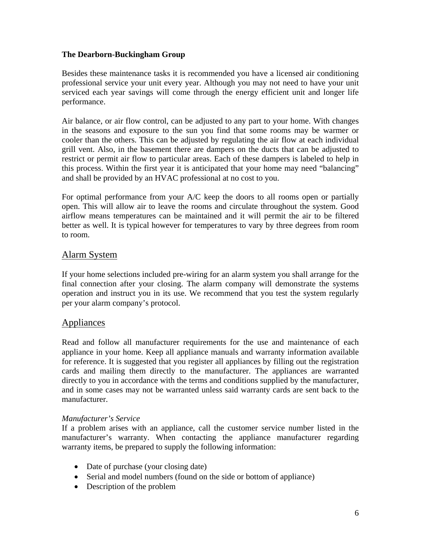Besides these maintenance tasks it is recommended you have a licensed air conditioning professional service your unit every year. Although you may not need to have your unit serviced each year savings will come through the energy efficient unit and longer life performance.

Air balance, or air flow control, can be adjusted to any part to your home. With changes in the seasons and exposure to the sun you find that some rooms may be warmer or cooler than the others. This can be adjusted by regulating the air flow at each individual grill vent. Also, in the basement there are dampers on the ducts that can be adjusted to restrict or permit air flow to particular areas. Each of these dampers is labeled to help in this process. Within the first year it is anticipated that your home may need "balancing" and shall be provided by an HVAC professional at no cost to you.

For optimal performance from your A/C keep the doors to all rooms open or partially open. This will allow air to leave the rooms and circulate throughout the system. Good airflow means temperatures can be maintained and it will permit the air to be filtered better as well. It is typical however for temperatures to vary by three degrees from room to room.

# Alarm System

If your home selections included pre-wiring for an alarm system you shall arrange for the final connection after your closing. The alarm company will demonstrate the systems operation and instruct you in its use. We recommend that you test the system regularly per your alarm company's protocol.

# Appliances

Read and follow all manufacturer requirements for the use and maintenance of each appliance in your home. Keep all appliance manuals and warranty information available for reference. It is suggested that you register all appliances by filling out the registration cards and mailing them directly to the manufacturer. The appliances are warranted directly to you in accordance with the terms and conditions supplied by the manufacturer, and in some cases may not be warranted unless said warranty cards are sent back to the manufacturer.

#### *Manufacturer's Service*

If a problem arises with an appliance, call the customer service number listed in the manufacturer's warranty. When contacting the appliance manufacturer regarding warranty items, be prepared to supply the following information:

- Date of purchase (your closing date)
- Serial and model numbers (found on the side or bottom of appliance)
- Description of the problem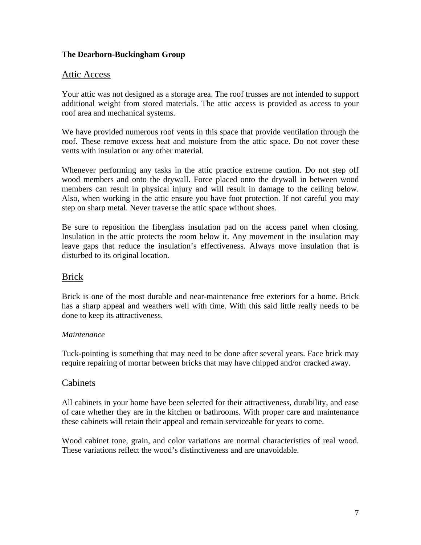# Attic Access

Your attic was not designed as a storage area. The roof trusses are not intended to support additional weight from stored materials. The attic access is provided as access to your roof area and mechanical systems.

We have provided numerous roof vents in this space that provide ventilation through the roof. These remove excess heat and moisture from the attic space. Do not cover these vents with insulation or any other material.

Whenever performing any tasks in the attic practice extreme caution. Do not step off wood members and onto the drywall. Force placed onto the drywall in between wood members can result in physical injury and will result in damage to the ceiling below. Also, when working in the attic ensure you have foot protection. If not careful you may step on sharp metal. Never traverse the attic space without shoes.

Be sure to reposition the fiberglass insulation pad on the access panel when closing. Insulation in the attic protects the room below it. Any movement in the insulation may leave gaps that reduce the insulation's effectiveness. Always move insulation that is disturbed to its original location.

# Brick

Brick is one of the most durable and near-maintenance free exteriors for a home. Brick has a sharp appeal and weathers well with time. With this said little really needs to be done to keep its attractiveness.

# *Maintenance*

Tuck-pointing is something that may need to be done after several years. Face brick may require repairing of mortar between bricks that may have chipped and/or cracked away.

# Cabinets

All cabinets in your home have been selected for their attractiveness, durability, and ease of care whether they are in the kitchen or bathrooms. With proper care and maintenance these cabinets will retain their appeal and remain serviceable for years to come.

Wood cabinet tone, grain, and color variations are normal characteristics of real wood. These variations reflect the wood's distinctiveness and are unavoidable.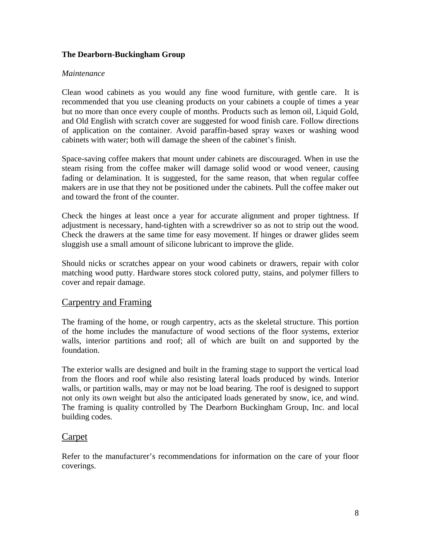#### *Maintenance*

Clean wood cabinets as you would any fine wood furniture, with gentle care. It is recommended that you use cleaning products on your cabinets a couple of times a year but no more than once every couple of months. Products such as lemon oil, Liquid Gold, and Old English with scratch cover are suggested for wood finish care. Follow directions of application on the container. Avoid paraffin-based spray waxes or washing wood cabinets with water; both will damage the sheen of the cabinet's finish.

Space-saving coffee makers that mount under cabinets are discouraged. When in use the steam rising from the coffee maker will damage solid wood or wood veneer, causing fading or delamination. It is suggested, for the same reason, that when regular coffee makers are in use that they not be positioned under the cabinets. Pull the coffee maker out and toward the front of the counter.

Check the hinges at least once a year for accurate alignment and proper tightness. If adjustment is necessary, hand-tighten with a screwdriver so as not to strip out the wood. Check the drawers at the same time for easy movement. If hinges or drawer glides seem sluggish use a small amount of silicone lubricant to improve the glide.

Should nicks or scratches appear on your wood cabinets or drawers, repair with color matching wood putty. Hardware stores stock colored putty, stains, and polymer fillers to cover and repair damage.

# Carpentry and Framing

The framing of the home, or rough carpentry, acts as the skeletal structure. This portion of the home includes the manufacture of wood sections of the floor systems, exterior walls, interior partitions and roof; all of which are built on and supported by the foundation.

The exterior walls are designed and built in the framing stage to support the vertical load from the floors and roof while also resisting lateral loads produced by winds. Interior walls, or partition walls, may or may not be load bearing. The roof is designed to support not only its own weight but also the anticipated loads generated by snow, ice, and wind. The framing is quality controlled by The Dearborn Buckingham Group, Inc. and local building codes.

# Carpet

Refer to the manufacturer's recommendations for information on the care of your floor coverings.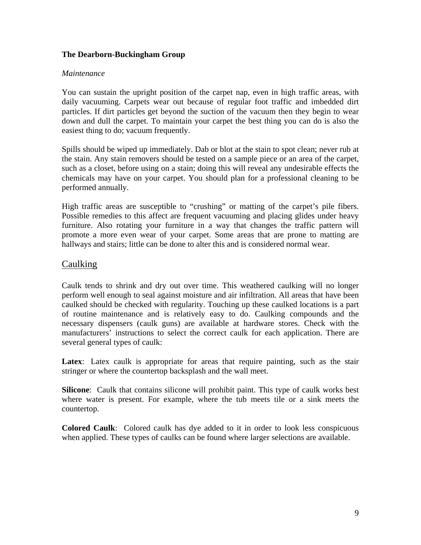#### *Maintenance*

You can sustain the upright position of the carpet nap, even in high traffic areas, with daily vacuuming. Carpets wear out because of regular foot traffic and imbedded dirt particles. If dirt particles get beyond the suction of the vacuum then they begin to wear down and dull the carpet. To maintain your carpet the best thing you can do is also the easiest thing to do; vacuum frequently.

Spills should be wiped up immediately. Dab or blot at the stain to spot clean; never rub at the stain. Any stain removers should be tested on a sample piece or an area of the carpet, such as a closet, before using on a stain; doing this will reveal any undesirable effects the chemicals may have on your carpet. You should plan for a professional cleaning to be performed annually.

High traffic areas are susceptible to "crushing" or matting of the carpet's pile fibers. Possible remedies to this affect are frequent vacuuming and placing glides under heavy furniture. Also rotating your furniture in a way that changes the traffic pattern will promote a more even wear of your carpet. Some areas that are prone to matting are hallways and stairs; little can be done to alter this and is considered normal wear.

# Caulking

Caulk tends to shrink and dry out over time. This weathered caulking will no longer perform well enough to seal against moisture and air infiltration. All areas that have been caulked should be checked with regularity. Touching up these caulked locations is a part of routine maintenance and is relatively easy to do. Caulking compounds and the necessary dispensers (caulk guns) are available at hardware stores. Check with the manufacturers' instructions to select the correct caulk for each application. There are several general types of caulk:

Latex: Latex caulk is appropriate for areas that require painting, such as the stair stringer or where the countertop backsplash and the wall meet.

**Silicone**: Caulk that contains silicone will prohibit paint. This type of caulk works best where water is present. For example, where the tub meets tile or a sink meets the countertop.

**Colored Caulk**: Colored caulk has dye added to it in order to look less conspicuous when applied. These types of caulks can be found where larger selections are available.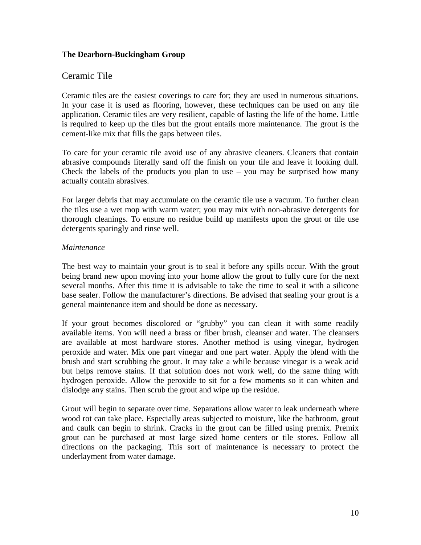# Ceramic Tile

Ceramic tiles are the easiest coverings to care for; they are used in numerous situations. In your case it is used as flooring, however, these techniques can be used on any tile application. Ceramic tiles are very resilient, capable of lasting the life of the home. Little is required to keep up the tiles but the grout entails more maintenance. The grout is the cement-like mix that fills the gaps between tiles.

To care for your ceramic tile avoid use of any abrasive cleaners. Cleaners that contain abrasive compounds literally sand off the finish on your tile and leave it looking dull. Check the labels of the products you plan to use  $-$  you may be surprised how many actually contain abrasives.

For larger debris that may accumulate on the ceramic tile use a vacuum. To further clean the tiles use a wet mop with warm water; you may mix with non-abrasive detergents for thorough cleanings. To ensure no residue build up manifests upon the grout or tile use detergents sparingly and rinse well.

#### *Maintenance*

The best way to maintain your grout is to seal it before any spills occur. With the grout being brand new upon moving into your home allow the grout to fully cure for the next several months. After this time it is advisable to take the time to seal it with a silicone base sealer. Follow the manufacturer's directions. Be advised that sealing your grout is a general maintenance item and should be done as necessary.

If your grout becomes discolored or "grubby" you can clean it with some readily available items. You will need a brass or fiber brush, cleanser and water. The cleansers are available at most hardware stores. Another method is using vinegar, hydrogen peroxide and water. Mix one part vinegar and one part water. Apply the blend with the brush and start scrubbing the grout. It may take a while because vinegar is a weak acid but helps remove stains. If that solution does not work well, do the same thing with hydrogen peroxide. Allow the peroxide to sit for a few moments so it can whiten and dislodge any stains. Then scrub the grout and wipe up the residue.

Grout will begin to separate over time. Separations allow water to leak underneath where wood rot can take place. Especially areas subjected to moisture, like the bathroom, grout and caulk can begin to shrink. Cracks in the grout can be filled using premix. Premix grout can be purchased at most large sized home centers or tile stores. Follow all directions on the packaging. This sort of maintenance is necessary to protect the underlayment from water damage.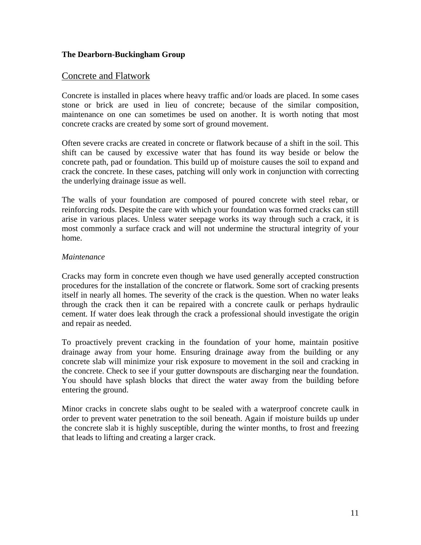# Concrete and Flatwork

Concrete is installed in places where heavy traffic and/or loads are placed. In some cases stone or brick are used in lieu of concrete; because of the similar composition, maintenance on one can sometimes be used on another. It is worth noting that most concrete cracks are created by some sort of ground movement.

Often severe cracks are created in concrete or flatwork because of a shift in the soil. This shift can be caused by excessive water that has found its way beside or below the concrete path, pad or foundation. This build up of moisture causes the soil to expand and crack the concrete. In these cases, patching will only work in conjunction with correcting the underlying drainage issue as well.

The walls of your foundation are composed of poured concrete with steel rebar, or reinforcing rods. Despite the care with which your foundation was formed cracks can still arise in various places. Unless water seepage works its way through such a crack, it is most commonly a surface crack and will not undermine the structural integrity of your home.

#### *Maintenance*

Cracks may form in concrete even though we have used generally accepted construction procedures for the installation of the concrete or flatwork. Some sort of cracking presents itself in nearly all homes. The severity of the crack is the question. When no water leaks through the crack then it can be repaired with a concrete caulk or perhaps hydraulic cement. If water does leak through the crack a professional should investigate the origin and repair as needed.

To proactively prevent cracking in the foundation of your home, maintain positive drainage away from your home. Ensuring drainage away from the building or any concrete slab will minimize your risk exposure to movement in the soil and cracking in the concrete. Check to see if your gutter downspouts are discharging near the foundation. You should have splash blocks that direct the water away from the building before entering the ground.

Minor cracks in concrete slabs ought to be sealed with a waterproof concrete caulk in order to prevent water penetration to the soil beneath. Again if moisture builds up under the concrete slab it is highly susceptible, during the winter months, to frost and freezing that leads to lifting and creating a larger crack.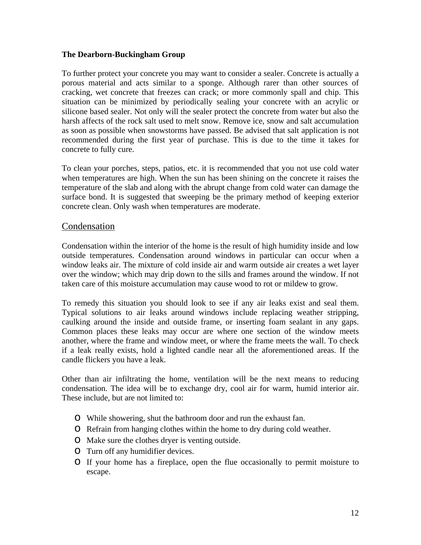To further protect your concrete you may want to consider a sealer. Concrete is actually a porous material and acts similar to a sponge. Although rarer than other sources of cracking, wet concrete that freezes can crack; or more commonly spall and chip. This situation can be minimized by periodically sealing your concrete with an acrylic or silicone based sealer. Not only will the sealer protect the concrete from water but also the harsh affects of the rock salt used to melt snow. Remove ice, snow and salt accumulation as soon as possible when snowstorms have passed. Be advised that salt application is not recommended during the first year of purchase. This is due to the time it takes for concrete to fully cure.

To clean your porches, steps, patios, etc. it is recommended that you not use cold water when temperatures are high. When the sun has been shining on the concrete it raises the temperature of the slab and along with the abrupt change from cold water can damage the surface bond. It is suggested that sweeping be the primary method of keeping exterior concrete clean. Only wash when temperatures are moderate.

# Condensation

Condensation within the interior of the home is the result of high humidity inside and low outside temperatures. Condensation around windows in particular can occur when a window leaks air. The mixture of cold inside air and warm outside air creates a wet layer over the window; which may drip down to the sills and frames around the window. If not taken care of this moisture accumulation may cause wood to rot or mildew to grow.

To remedy this situation you should look to see if any air leaks exist and seal them. Typical solutions to air leaks around windows include replacing weather stripping, caulking around the inside and outside frame, or inserting foam sealant in any gaps. Common places these leaks may occur are where one section of the window meets another, where the frame and window meet, or where the frame meets the wall. To check if a leak really exists, hold a lighted candle near all the aforementioned areas. If the candle flickers you have a leak.

Other than air infiltrating the home, ventilation will be the next means to reducing condensation. The idea will be to exchange dry, cool air for warm, humid interior air. These include, but are not limited to:

- o While showering, shut the bathroom door and run the exhaust fan.
- o Refrain from hanging clothes within the home to dry during cold weather.
- o Make sure the clothes dryer is venting outside.
- o Turn off any humidifier devices.
- o If your home has a fireplace, open the flue occasionally to permit moisture to escape.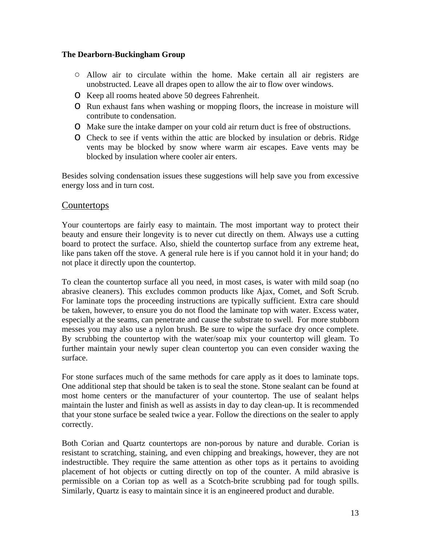- **○** Allow air to circulate within the home. Make certain all air registers are unobstructed. Leave all drapes open to allow the air to flow over windows.
- o Keep all rooms heated above 50 degrees Fahrenheit.
- o Run exhaust fans when washing or mopping floors, the increase in moisture will contribute to condensation.
- o Make sure the intake damper on your cold air return duct is free of obstructions.
- o Check to see if vents within the attic are blocked by insulation or debris. Ridge vents may be blocked by snow where warm air escapes. Eave vents may be blocked by insulation where cooler air enters.

Besides solving condensation issues these suggestions will help save you from excessive energy loss and in turn cost.

# Countertops

Your countertops are fairly easy to maintain. The most important way to protect their beauty and ensure their longevity is to never cut directly on them. Always use a cutting board to protect the surface. Also, shield the countertop surface from any extreme heat, like pans taken off the stove. A general rule here is if you cannot hold it in your hand; do not place it directly upon the countertop.

To clean the countertop surface all you need, in most cases, is water with mild soap (no abrasive cleaners). This excludes common products like Ajax, Comet, and Soft Scrub. For laminate tops the proceeding instructions are typically sufficient. Extra care should be taken, however, to ensure you do not flood the laminate top with water. Excess water, especially at the seams, can penetrate and cause the substrate to swell. For more stubborn messes you may also use a nylon brush. Be sure to wipe the surface dry once complete. By scrubbing the countertop with the water/soap mix your countertop will gleam. To further maintain your newly super clean countertop you can even consider waxing the surface.

For stone surfaces much of the same methods for care apply as it does to laminate tops. One additional step that should be taken is to seal the stone. Stone sealant can be found at most home centers or the manufacturer of your countertop. The use of sealant helps maintain the luster and finish as well as assists in day to day clean-up. It is recommended that your stone surface be sealed twice a year. Follow the directions on the sealer to apply correctly.

Both Corian and Quartz countertops are non-porous by nature and durable. Corian is resistant to scratching, staining, and even chipping and breakings, however, they are not indestructible. They require the same attention as other tops as it pertains to avoiding placement of hot objects or cutting directly on top of the counter. A mild abrasive is permissible on a Corian top as well as a Scotch-brite scrubbing pad for tough spills. Similarly, Quartz is easy to maintain since it is an engineered product and durable.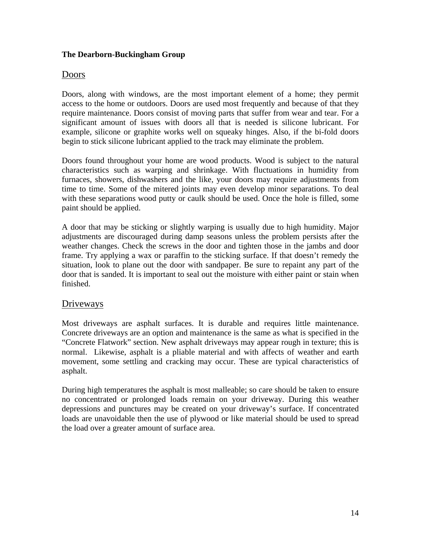# Doors

Doors, along with windows, are the most important element of a home; they permit access to the home or outdoors. Doors are used most frequently and because of that they require maintenance. Doors consist of moving parts that suffer from wear and tear. For a significant amount of issues with doors all that is needed is silicone lubricant. For example, silicone or graphite works well on squeaky hinges. Also, if the bi-fold doors begin to stick silicone lubricant applied to the track may eliminate the problem.

Doors found throughout your home are wood products. Wood is subject to the natural characteristics such as warping and shrinkage. With fluctuations in humidity from furnaces, showers, dishwashers and the like, your doors may require adjustments from time to time. Some of the mitered joints may even develop minor separations. To deal with these separations wood putty or caulk should be used. Once the hole is filled, some paint should be applied.

A door that may be sticking or slightly warping is usually due to high humidity. Major adjustments are discouraged during damp seasons unless the problem persists after the weather changes. Check the screws in the door and tighten those in the jambs and door frame. Try applying a wax or paraffin to the sticking surface. If that doesn't remedy the situation, look to plane out the door with sandpaper. Be sure to repaint any part of the door that is sanded. It is important to seal out the moisture with either paint or stain when finished.

# **Driveways**

Most driveways are asphalt surfaces. It is durable and requires little maintenance. Concrete driveways are an option and maintenance is the same as what is specified in the "Concrete Flatwork" section. New asphalt driveways may appear rough in texture; this is normal. Likewise, asphalt is a pliable material and with affects of weather and earth movement, some settling and cracking may occur. These are typical characteristics of asphalt.

During high temperatures the asphalt is most malleable; so care should be taken to ensure no concentrated or prolonged loads remain on your driveway. During this weather depressions and punctures may be created on your driveway's surface. If concentrated loads are unavoidable then the use of plywood or like material should be used to spread the load over a greater amount of surface area.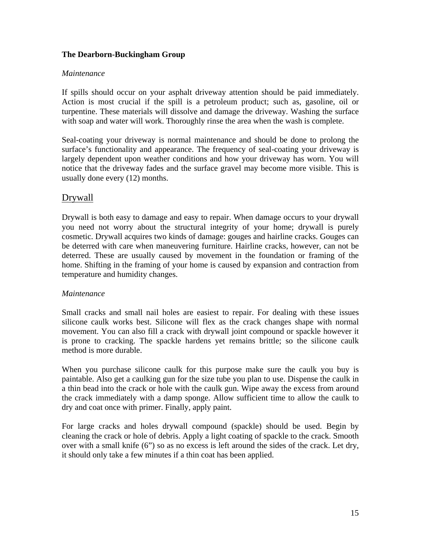#### *Maintenance*

If spills should occur on your asphalt driveway attention should be paid immediately. Action is most crucial if the spill is a petroleum product; such as, gasoline, oil or turpentine. These materials will dissolve and damage the driveway. Washing the surface with soap and water will work. Thoroughly rinse the area when the wash is complete.

Seal-coating your driveway is normal maintenance and should be done to prolong the surface's functionality and appearance. The frequency of seal-coating your driveway is largely dependent upon weather conditions and how your driveway has worn. You will notice that the driveway fades and the surface gravel may become more visible. This is usually done every (12) months.

# Drywall

Drywall is both easy to damage and easy to repair. When damage occurs to your drywall you need not worry about the structural integrity of your home; drywall is purely cosmetic. Drywall acquires two kinds of damage: gouges and hairline cracks. Gouges can be deterred with care when maneuvering furniture. Hairline cracks, however, can not be deterred. These are usually caused by movement in the foundation or framing of the home. Shifting in the framing of your home is caused by expansion and contraction from temperature and humidity changes.

# *Maintenance*

Small cracks and small nail holes are easiest to repair. For dealing with these issues silicone caulk works best. Silicone will flex as the crack changes shape with normal movement. You can also fill a crack with drywall joint compound or spackle however it is prone to cracking. The spackle hardens yet remains brittle; so the silicone caulk method is more durable.

When you purchase silicone caulk for this purpose make sure the caulk you buy is paintable. Also get a caulking gun for the size tube you plan to use. Dispense the caulk in a thin bead into the crack or hole with the caulk gun. Wipe away the excess from around the crack immediately with a damp sponge. Allow sufficient time to allow the caulk to dry and coat once with primer. Finally, apply paint.

For large cracks and holes drywall compound (spackle) should be used. Begin by cleaning the crack or hole of debris. Apply a light coating of spackle to the crack. Smooth over with a small knife (6") so as no excess is left around the sides of the crack. Let dry, it should only take a few minutes if a thin coat has been applied.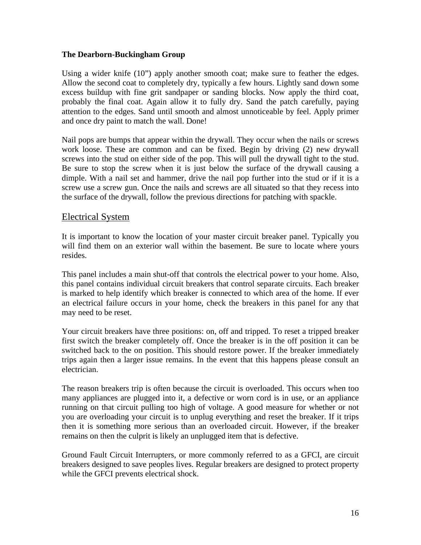Using a wider knife (10") apply another smooth coat; make sure to feather the edges. Allow the second coat to completely dry, typically a few hours. Lightly sand down some excess buildup with fine grit sandpaper or sanding blocks. Now apply the third coat, probably the final coat. Again allow it to fully dry. Sand the patch carefully, paying attention to the edges. Sand until smooth and almost unnoticeable by feel. Apply primer and once dry paint to match the wall. Done!

Nail pops are bumps that appear within the drywall. They occur when the nails or screws work loose. These are common and can be fixed. Begin by driving (2) new drywall screws into the stud on either side of the pop. This will pull the drywall tight to the stud. Be sure to stop the screw when it is just below the surface of the drywall causing a dimple. With a nail set and hammer, drive the nail pop further into the stud or if it is a screw use a screw gun. Once the nails and screws are all situated so that they recess into the surface of the drywall, follow the previous directions for patching with spackle.

#### Electrical System

It is important to know the location of your master circuit breaker panel. Typically you will find them on an exterior wall within the basement. Be sure to locate where yours resides.

This panel includes a main shut-off that controls the electrical power to your home. Also, this panel contains individual circuit breakers that control separate circuits. Each breaker is marked to help identify which breaker is connected to which area of the home. If ever an electrical failure occurs in your home, check the breakers in this panel for any that may need to be reset.

Your circuit breakers have three positions: on, off and tripped. To reset a tripped breaker first switch the breaker completely off. Once the breaker is in the off position it can be switched back to the on position. This should restore power. If the breaker immediately trips again then a larger issue remains. In the event that this happens please consult an electrician.

The reason breakers trip is often because the circuit is overloaded. This occurs when too many appliances are plugged into it, a defective or worn cord is in use, or an appliance running on that circuit pulling too high of voltage. A good measure for whether or not you are overloading your circuit is to unplug everything and reset the breaker. If it trips then it is something more serious than an overloaded circuit. However, if the breaker remains on then the culprit is likely an unplugged item that is defective.

Ground Fault Circuit Interrupters, or more commonly referred to as a GFCI, are circuit breakers designed to save peoples lives. Regular breakers are designed to protect property while the GFCI prevents electrical shock.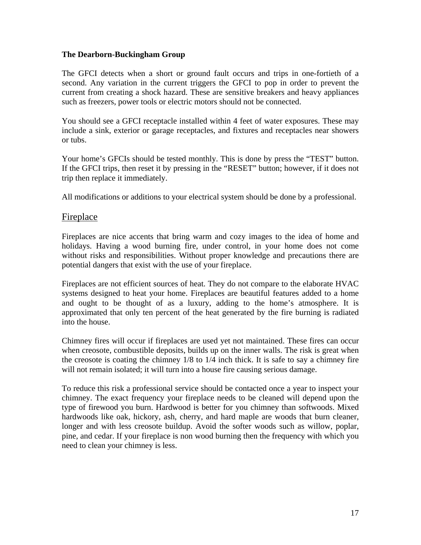The GFCI detects when a short or ground fault occurs and trips in one-fortieth of a second. Any variation in the current triggers the GFCI to pop in order to prevent the current from creating a shock hazard. These are sensitive breakers and heavy appliances such as freezers, power tools or electric motors should not be connected.

You should see a GFCI receptacle installed within 4 feet of water exposures. These may include a sink, exterior or garage receptacles, and fixtures and receptacles near showers or tubs.

Your home's GFCIs should be tested monthly. This is done by press the "TEST" button. If the GFCI trips, then reset it by pressing in the "RESET" button; however, if it does not trip then replace it immediately.

All modifications or additions to your electrical system should be done by a professional.

# Fireplace

Fireplaces are nice accents that bring warm and cozy images to the idea of home and holidays. Having a wood burning fire, under control, in your home does not come without risks and responsibilities. Without proper knowledge and precautions there are potential dangers that exist with the use of your fireplace.

Fireplaces are not efficient sources of heat. They do not compare to the elaborate HVAC systems designed to heat your home. Fireplaces are beautiful features added to a home and ought to be thought of as a luxury, adding to the home's atmosphere. It is approximated that only ten percent of the heat generated by the fire burning is radiated into the house.

Chimney fires will occur if fireplaces are used yet not maintained. These fires can occur when creosote, combustible deposits, builds up on the inner walls. The risk is great when the creosote is coating the chimney 1/8 to 1/4 inch thick. It is safe to say a chimney fire will not remain isolated; it will turn into a house fire causing serious damage.

To reduce this risk a professional service should be contacted once a year to inspect your chimney. The exact frequency your fireplace needs to be cleaned will depend upon the type of firewood you burn. Hardwood is better for you chimney than softwoods. Mixed hardwoods like oak, hickory, ash, cherry, and hard maple are woods that burn cleaner, longer and with less creosote buildup. Avoid the softer woods such as willow, poplar, pine, and cedar. If your fireplace is non wood burning then the frequency with which you need to clean your chimney is less.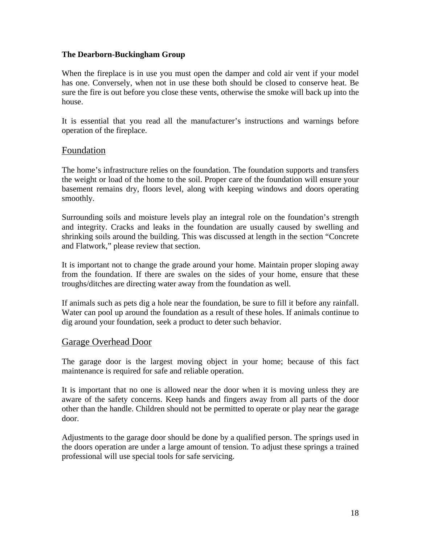When the fireplace is in use you must open the damper and cold air vent if your model has one. Conversely, when not in use these both should be closed to conserve heat. Be sure the fire is out before you close these vents, otherwise the smoke will back up into the house.

It is essential that you read all the manufacturer's instructions and warnings before operation of the fireplace.

# Foundation

The home's infrastructure relies on the foundation. The foundation supports and transfers the weight or load of the home to the soil. Proper care of the foundation will ensure your basement remains dry, floors level, along with keeping windows and doors operating smoothly.

Surrounding soils and moisture levels play an integral role on the foundation's strength and integrity. Cracks and leaks in the foundation are usually caused by swelling and shrinking soils around the building. This was discussed at length in the section "Concrete and Flatwork," please review that section.

It is important not to change the grade around your home. Maintain proper sloping away from the foundation. If there are swales on the sides of your home, ensure that these troughs/ditches are directing water away from the foundation as well.

If animals such as pets dig a hole near the foundation, be sure to fill it before any rainfall. Water can pool up around the foundation as a result of these holes. If animals continue to dig around your foundation, seek a product to deter such behavior.

# Garage Overhead Door

The garage door is the largest moving object in your home; because of this fact maintenance is required for safe and reliable operation.

It is important that no one is allowed near the door when it is moving unless they are aware of the safety concerns. Keep hands and fingers away from all parts of the door other than the handle. Children should not be permitted to operate or play near the garage door.

Adjustments to the garage door should be done by a qualified person. The springs used in the doors operation are under a large amount of tension. To adjust these springs a trained professional will use special tools for safe servicing.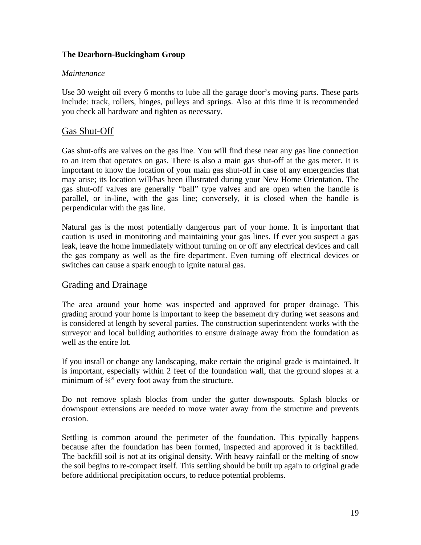#### *Maintenance*

Use 30 weight oil every 6 months to lube all the garage door's moving parts. These parts include: track, rollers, hinges, pulleys and springs. Also at this time it is recommended you check all hardware and tighten as necessary.

# Gas Shut-Off

Gas shut-offs are valves on the gas line. You will find these near any gas line connection to an item that operates on gas. There is also a main gas shut-off at the gas meter. It is important to know the location of your main gas shut-off in case of any emergencies that may arise; its location will/has been illustrated during your New Home Orientation. The gas shut-off valves are generally "ball" type valves and are open when the handle is parallel, or in-line, with the gas line; conversely, it is closed when the handle is perpendicular with the gas line.

Natural gas is the most potentially dangerous part of your home. It is important that caution is used in monitoring and maintaining your gas lines. If ever you suspect a gas leak, leave the home immediately without turning on or off any electrical devices and call the gas company as well as the fire department. Even turning off electrical devices or switches can cause a spark enough to ignite natural gas.

# Grading and Drainage

The area around your home was inspected and approved for proper drainage. This grading around your home is important to keep the basement dry during wet seasons and is considered at length by several parties. The construction superintendent works with the surveyor and local building authorities to ensure drainage away from the foundation as well as the entire lot.

If you install or change any landscaping, make certain the original grade is maintained. It is important, especially within 2 feet of the foundation wall, that the ground slopes at a minimum of ¼" every foot away from the structure.

Do not remove splash blocks from under the gutter downspouts. Splash blocks or downspout extensions are needed to move water away from the structure and prevents erosion.

Settling is common around the perimeter of the foundation. This typically happens because after the foundation has been formed, inspected and approved it is backfilled. The backfill soil is not at its original density. With heavy rainfall or the melting of snow the soil begins to re-compact itself. This settling should be built up again to original grade before additional precipitation occurs, to reduce potential problems.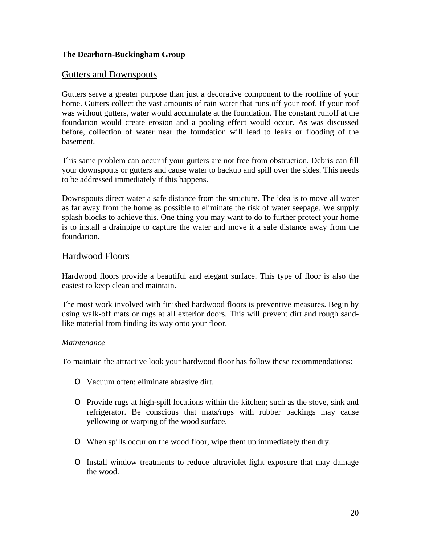# Gutters and Downspouts

Gutters serve a greater purpose than just a decorative component to the roofline of your home. Gutters collect the vast amounts of rain water that runs off your roof. If your roof was without gutters, water would accumulate at the foundation. The constant runoff at the foundation would create erosion and a pooling effect would occur. As was discussed before, collection of water near the foundation will lead to leaks or flooding of the basement.

This same problem can occur if your gutters are not free from obstruction. Debris can fill your downspouts or gutters and cause water to backup and spill over the sides. This needs to be addressed immediately if this happens.

Downspouts direct water a safe distance from the structure. The idea is to move all water as far away from the home as possible to eliminate the risk of water seepage. We supply splash blocks to achieve this. One thing you may want to do to further protect your home is to install a drainpipe to capture the water and move it a safe distance away from the foundation.

# Hardwood Floors

Hardwood floors provide a beautiful and elegant surface. This type of floor is also the easiest to keep clean and maintain.

The most work involved with finished hardwood floors is preventive measures. Begin by using walk-off mats or rugs at all exterior doors. This will prevent dirt and rough sandlike material from finding its way onto your floor.

#### *Maintenance*

To maintain the attractive look your hardwood floor has follow these recommendations:

- o Vacuum often; eliminate abrasive dirt.
- o Provide rugs at high-spill locations within the kitchen; such as the stove, sink and refrigerator. Be conscious that mats/rugs with rubber backings may cause yellowing or warping of the wood surface.
- o When spills occur on the wood floor, wipe them up immediately then dry.
- o Install window treatments to reduce ultraviolet light exposure that may damage the wood.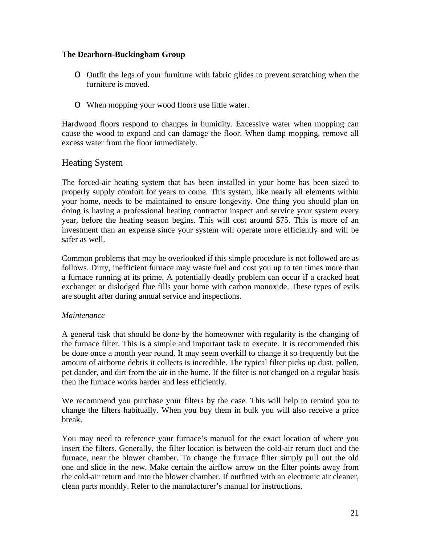- o Outfit the legs of your furniture with fabric glides to prevent scratching when the furniture is moved.
- o When mopping your wood floors use little water.

Hardwood floors respond to changes in humidity. Excessive water when mopping can cause the wood to expand and can damage the floor. When damp mopping, remove all excess water from the floor immediately.

# Heating System

The forced-air heating system that has been installed in your home has been sized to properly supply comfort for years to come. This system, like nearly all elements within your home, needs to be maintained to ensure longevity. One thing you should plan on doing is having a professional heating contractor inspect and service your system every year, before the heating season begins. This will cost around \$75. This is more of an investment than an expense since your system will operate more efficiently and will be safer as well.

Common problems that may be overlooked if this simple procedure is not followed are as follows. Dirty, inefficient furnace may waste fuel and cost you up to ten times more than a furnace running at its prime. A potentially deadly problem can occur if a cracked heat exchanger or dislodged flue fills your home with carbon monoxide. These types of evils are sought after during annual service and inspections.

# *Maintenance*

A general task that should be done by the homeowner with regularity is the changing of the furnace filter. This is a simple and important task to execute. It is recommended this be done once a month year round. It may seem overkill to change it so frequently but the amount of airborne debris it collects is incredible. The typical filter picks up dust, pollen, pet dander, and dirt from the air in the home. If the filter is not changed on a regular basis then the furnace works harder and less efficiently.

We recommend you purchase your filters by the case. This will help to remind you to change the filters habitually. When you buy them in bulk you will also receive a price break.

You may need to reference your furnace's manual for the exact location of where you insert the filters. Generally, the filter location is between the cold-air return duct and the furnace, near the blower chamber. To change the furnace filter simply pull out the old one and slide in the new. Make certain the airflow arrow on the filter points away from the cold-air return and into the blower chamber. If outfitted with an electronic air cleaner, clean parts monthly. Refer to the manufacturer's manual for instructions.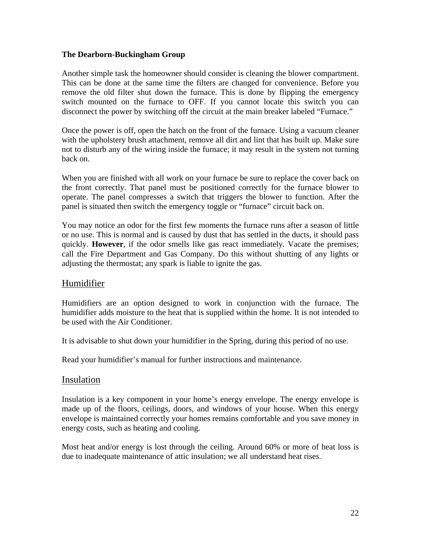Another simple task the homeowner should consider is cleaning the blower compartment. This can be done at the same time the filters are changed for convenience. Before you remove the old filter shut down the furnace. This is done by flipping the emergency switch mounted on the furnace to OFF. If you cannot locate this switch you can disconnect the power by switching off the circuit at the main breaker labeled "Furnace."

Once the power is off, open the hatch on the front of the furnace. Using a vacuum cleaner with the upholstery brush attachment, remove all dirt and lint that has built up. Make sure not to disturb any of the wiring inside the furnace; it may result in the system not turning back on.

When you are finished with all work on your furnace be sure to replace the cover back on the front correctly. That panel must be positioned correctly for the furnace blower to operate. The panel compresses a switch that triggers the blower to function. After the panel is situated then switch the emergency toggle or "furnace" circuit back on.

You may notice an odor for the first few moments the furnace runs after a season of little or no use. This is normal and is caused by dust that has settled in the ducts, it should pass quickly. **However**, if the odor smells like gas react immediately. Vacate the premises; call the Fire Department and Gas Company. Do this without shutting of any lights or adjusting the thermostat; any spark is liable to ignite the gas.

# Humidifier

Humidifiers are an option designed to work in conjunction with the furnace. The humidifier adds moisture to the heat that is supplied within the home. It is not intended to be used with the Air Conditioner.

It is advisable to shut down your humidifier in the Spring, during this period of no use.

Read your humidifier's manual for further instructions and maintenance.

# Insulation

Insulation is a key component in your home's energy envelope. The energy envelope is made up of the floors, ceilings, doors, and windows of your house. When this energy envelope is maintained correctly your homes remains comfortable and you save money in energy costs, such as heating and cooling.

Most heat and/or energy is lost through the ceiling. Around 60% or more of heat loss is due to inadequate maintenance of attic insulation; we all understand heat rises.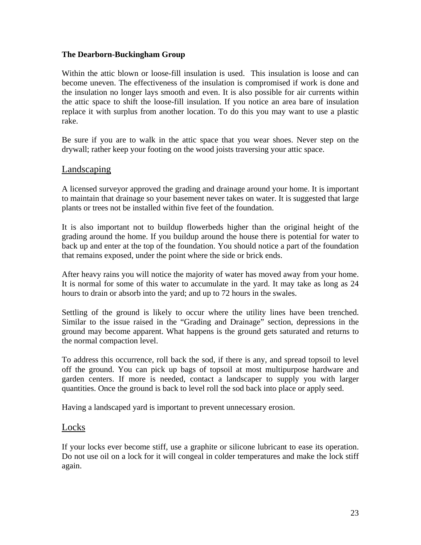Within the attic blown or loose-fill insulation is used. This insulation is loose and can become uneven. The effectiveness of the insulation is compromised if work is done and the insulation no longer lays smooth and even. It is also possible for air currents within the attic space to shift the loose-fill insulation. If you notice an area bare of insulation replace it with surplus from another location. To do this you may want to use a plastic rake.

Be sure if you are to walk in the attic space that you wear shoes. Never step on the drywall; rather keep your footing on the wood joists traversing your attic space.

# Landscaping

A licensed surveyor approved the grading and drainage around your home. It is important to maintain that drainage so your basement never takes on water. It is suggested that large plants or trees not be installed within five feet of the foundation.

It is also important not to buildup flowerbeds higher than the original height of the grading around the home. If you buildup around the house there is potential for water to back up and enter at the top of the foundation. You should notice a part of the foundation that remains exposed, under the point where the side or brick ends.

After heavy rains you will notice the majority of water has moved away from your home. It is normal for some of this water to accumulate in the yard. It may take as long as 24 hours to drain or absorb into the yard; and up to 72 hours in the swales.

Settling of the ground is likely to occur where the utility lines have been trenched. Similar to the issue raised in the "Grading and Drainage" section, depressions in the ground may become apparent. What happens is the ground gets saturated and returns to the normal compaction level.

To address this occurrence, roll back the sod, if there is any, and spread topsoil to level off the ground. You can pick up bags of topsoil at most multipurpose hardware and garden centers. If more is needed, contact a landscaper to supply you with larger quantities. Once the ground is back to level roll the sod back into place or apply seed.

Having a landscaped yard is important to prevent unnecessary erosion.

# **Locks**

If your locks ever become stiff, use a graphite or silicone lubricant to ease its operation. Do not use oil on a lock for it will congeal in colder temperatures and make the lock stiff again.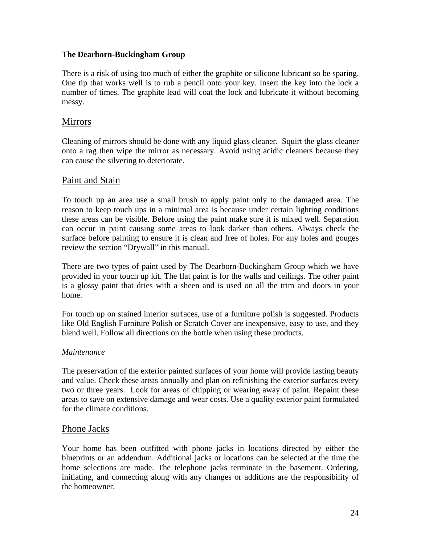There is a risk of using too much of either the graphite or silicone lubricant so be sparing. One tip that works well is to rub a pencil onto your key. Insert the key into the lock a number of times. The graphite lead will coat the lock and lubricate it without becoming messy.

# Mirrors

Cleaning of mirrors should be done with any liquid glass cleaner. Squirt the glass cleaner onto a rag then wipe the mirror as necessary. Avoid using acidic cleaners because they can cause the silvering to deteriorate.

# Paint and Stain

To touch up an area use a small brush to apply paint only to the damaged area. The reason to keep touch ups in a minimal area is because under certain lighting conditions these areas can be visible. Before using the paint make sure it is mixed well. Separation can occur in paint causing some areas to look darker than others. Always check the surface before painting to ensure it is clean and free of holes. For any holes and gouges review the section "Drywall" in this manual.

There are two types of paint used by The Dearborn-Buckingham Group which we have provided in your touch up kit. The flat paint is for the walls and ceilings. The other paint is a glossy paint that dries with a sheen and is used on all the trim and doors in your home.

For touch up on stained interior surfaces, use of a furniture polish is suggested. Products like Old English Furniture Polish or Scratch Cover are inexpensive, easy to use, and they blend well. Follow all directions on the bottle when using these products.

# *Maintenance*

The preservation of the exterior painted surfaces of your home will provide lasting beauty and value. Check these areas annually and plan on refinishing the exterior surfaces every two or three years. Look for areas of chipping or wearing away of paint. Repaint these areas to save on extensive damage and wear costs. Use a quality exterior paint formulated for the climate conditions.

# Phone Jacks

Your home has been outfitted with phone jacks in locations directed by either the blueprints or an addendum. Additional jacks or locations can be selected at the time the home selections are made. The telephone jacks terminate in the basement. Ordering, initiating, and connecting along with any changes or additions are the responsibility of the homeowner.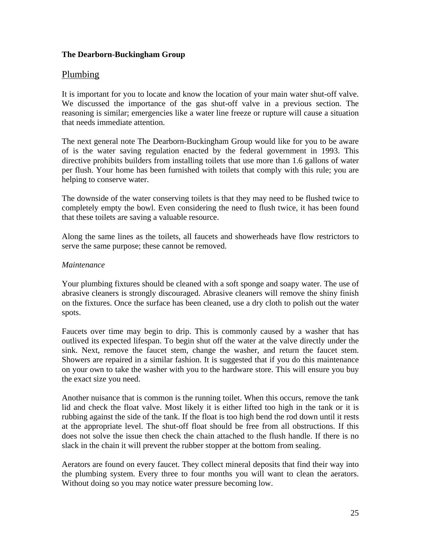# Plumbing

It is important for you to locate and know the location of your main water shut-off valve. We discussed the importance of the gas shut-off valve in a previous section. The reasoning is similar; emergencies like a water line freeze or rupture will cause a situation that needs immediate attention.

The next general note The Dearborn-Buckingham Group would like for you to be aware of is the water saving regulation enacted by the federal government in 1993. This directive prohibits builders from installing toilets that use more than 1.6 gallons of water per flush. Your home has been furnished with toilets that comply with this rule; you are helping to conserve water.

The downside of the water conserving toilets is that they may need to be flushed twice to completely empty the bowl. Even considering the need to flush twice, it has been found that these toilets are saving a valuable resource.

Along the same lines as the toilets, all faucets and showerheads have flow restrictors to serve the same purpose; these cannot be removed.

#### *Maintenance*

Your plumbing fixtures should be cleaned with a soft sponge and soapy water. The use of abrasive cleaners is strongly discouraged. Abrasive cleaners will remove the shiny finish on the fixtures. Once the surface has been cleaned, use a dry cloth to polish out the water spots.

Faucets over time may begin to drip. This is commonly caused by a washer that has outlived its expected lifespan. To begin shut off the water at the valve directly under the sink. Next, remove the faucet stem, change the washer, and return the faucet stem. Showers are repaired in a similar fashion. It is suggested that if you do this maintenance on your own to take the washer with you to the hardware store. This will ensure you buy the exact size you need.

Another nuisance that is common is the running toilet. When this occurs, remove the tank lid and check the float valve. Most likely it is either lifted too high in the tank or it is rubbing against the side of the tank. If the float is too high bend the rod down until it rests at the appropriate level. The shut-off float should be free from all obstructions. If this does not solve the issue then check the chain attached to the flush handle. If there is no slack in the chain it will prevent the rubber stopper at the bottom from sealing.

Aerators are found on every faucet. They collect mineral deposits that find their way into the plumbing system. Every three to four months you will want to clean the aerators. Without doing so you may notice water pressure becoming low.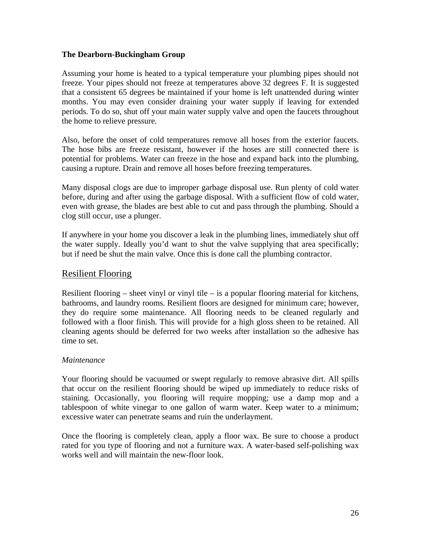Assuming your home is heated to a typical temperature your plumbing pipes should not freeze. Your pipes should not freeze at temperatures above 32 degrees F. It is suggested that a consistent 65 degrees be maintained if your home is left unattended during winter months. You may even consider draining your water supply if leaving for extended periods. To do so, shut off your main water supply valve and open the faucets throughout the home to relieve pressure.

Also, before the onset of cold temperatures remove all hoses from the exterior faucets. The hose bibs are freeze resistant, however if the hoses are still connected there is potential for problems. Water can freeze in the hose and expand back into the plumbing, causing a rupture. Drain and remove all hoses before freezing temperatures.

Many disposal clogs are due to improper garbage disposal use. Run plenty of cold water before, during and after using the garbage disposal. With a sufficient flow of cold water, even with grease, the blades are best able to cut and pass through the plumbing. Should a clog still occur, use a plunger.

If anywhere in your home you discover a leak in the plumbing lines, immediately shut off the water supply. Ideally you'd want to shut the valve supplying that area specifically; but if need be shut the main valve. Once this is done call the plumbing contractor.

# Resilient Flooring

Resilient flooring – sheet vinyl or vinyl tile – is a popular flooring material for kitchens, bathrooms, and laundry rooms. Resilient floors are designed for minimum care; however, they do require some maintenance. All flooring needs to be cleaned regularly and followed with a floor finish. This will provide for a high gloss sheen to be retained. All cleaning agents should be deferred for two weeks after installation so the adhesive has time to set.

# *Maintenance*

Your flooring should be vacuumed or swept regularly to remove abrasive dirt. All spills that occur on the resilient flooring should be wiped up immediately to reduce risks of staining. Occasionally, you flooring will require mopping; use a damp mop and a tablespoon of white vinegar to one gallon of warm water. Keep water to a minimum; excessive water can penetrate seams and ruin the underlayment.

Once the flooring is completely clean, apply a floor wax. Be sure to choose a product rated for you type of flooring and not a furniture wax. A water-based self-polishing wax works well and will maintain the new-floor look.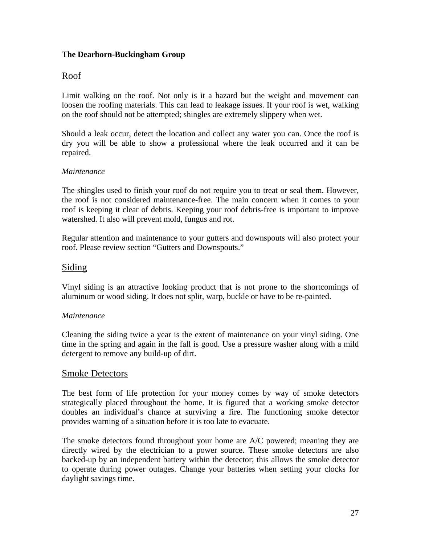# Roof

Limit walking on the roof. Not only is it a hazard but the weight and movement can loosen the roofing materials. This can lead to leakage issues. If your roof is wet, walking on the roof should not be attempted; shingles are extremely slippery when wet.

Should a leak occur, detect the location and collect any water you can. Once the roof is dry you will be able to show a professional where the leak occurred and it can be repaired.

# *Maintenance*

The shingles used to finish your roof do not require you to treat or seal them. However, the roof is not considered maintenance-free. The main concern when it comes to your roof is keeping it clear of debris. Keeping your roof debris-free is important to improve watershed. It also will prevent mold, fungus and rot.

Regular attention and maintenance to your gutters and downspouts will also protect your roof. Please review section "Gutters and Downspouts."

# Siding

Vinyl siding is an attractive looking product that is not prone to the shortcomings of aluminum or wood siding. It does not split, warp, buckle or have to be re-painted.

# *Maintenance*

Cleaning the siding twice a year is the extent of maintenance on your vinyl siding. One time in the spring and again in the fall is good. Use a pressure washer along with a mild detergent to remove any build-up of dirt.

# Smoke Detectors

The best form of life protection for your money comes by way of smoke detectors strategically placed throughout the home. It is figured that a working smoke detector doubles an individual's chance at surviving a fire. The functioning smoke detector provides warning of a situation before it is too late to evacuate.

The smoke detectors found throughout your home are A/C powered; meaning they are directly wired by the electrician to a power source. These smoke detectors are also backed-up by an independent battery within the detector; this allows the smoke detector to operate during power outages. Change your batteries when setting your clocks for daylight savings time.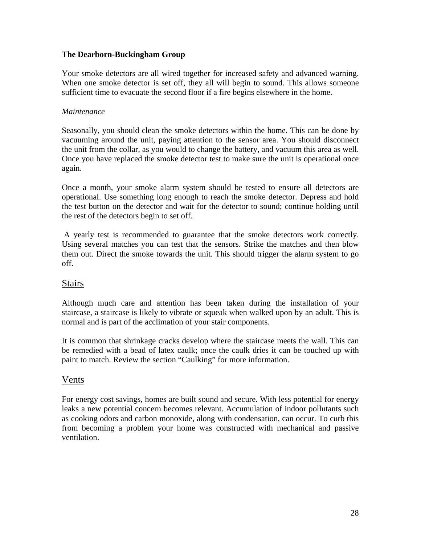Your smoke detectors are all wired together for increased safety and advanced warning. When one smoke detector is set off, they all will begin to sound. This allows someone sufficient time to evacuate the second floor if a fire begins elsewhere in the home.

#### *Maintenance*

Seasonally, you should clean the smoke detectors within the home. This can be done by vacuuming around the unit, paying attention to the sensor area. You should disconnect the unit from the collar, as you would to change the battery, and vacuum this area as well. Once you have replaced the smoke detector test to make sure the unit is operational once again.

Once a month, your smoke alarm system should be tested to ensure all detectors are operational. Use something long enough to reach the smoke detector. Depress and hold the test button on the detector and wait for the detector to sound; continue holding until the rest of the detectors begin to set off.

 A yearly test is recommended to guarantee that the smoke detectors work correctly. Using several matches you can test that the sensors. Strike the matches and then blow them out. Direct the smoke towards the unit. This should trigger the alarm system to go off.

# **Stairs**

Although much care and attention has been taken during the installation of your staircase, a staircase is likely to vibrate or squeak when walked upon by an adult. This is normal and is part of the acclimation of your stair components.

It is common that shrinkage cracks develop where the staircase meets the wall. This can be remedied with a bead of latex caulk; once the caulk dries it can be touched up with paint to match. Review the section "Caulking" for more information.

# Vents

For energy cost savings, homes are built sound and secure. With less potential for energy leaks a new potential concern becomes relevant. Accumulation of indoor pollutants such as cooking odors and carbon monoxide, along with condensation, can occur. To curb this from becoming a problem your home was constructed with mechanical and passive ventilation.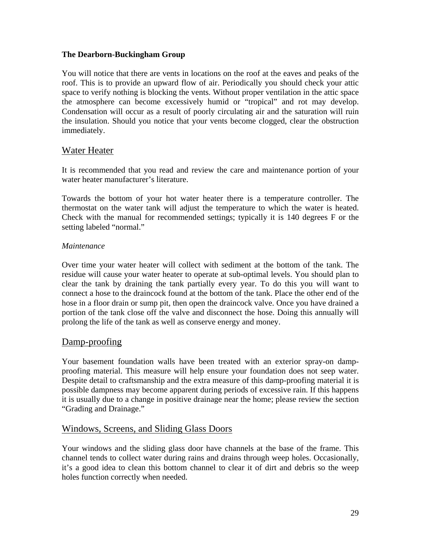You will notice that there are vents in locations on the roof at the eaves and peaks of the roof. This is to provide an upward flow of air. Periodically you should check your attic space to verify nothing is blocking the vents. Without proper ventilation in the attic space the atmosphere can become excessively humid or "tropical" and rot may develop. Condensation will occur as a result of poorly circulating air and the saturation will ruin the insulation. Should you notice that your vents become clogged, clear the obstruction immediately.

# Water Heater

It is recommended that you read and review the care and maintenance portion of your water heater manufacturer's literature.

Towards the bottom of your hot water heater there is a temperature controller. The thermostat on the water tank will adjust the temperature to which the water is heated. Check with the manual for recommended settings; typically it is 140 degrees F or the setting labeled "normal."

#### *Maintenance*

Over time your water heater will collect with sediment at the bottom of the tank. The residue will cause your water heater to operate at sub-optimal levels. You should plan to clear the tank by draining the tank partially every year. To do this you will want to connect a hose to the draincock found at the bottom of the tank. Place the other end of the hose in a floor drain or sump pit, then open the draincock valve. Once you have drained a portion of the tank close off the valve and disconnect the hose. Doing this annually will prolong the life of the tank as well as conserve energy and money.

# Damp-proofing

Your basement foundation walls have been treated with an exterior spray-on dampproofing material. This measure will help ensure your foundation does not seep water. Despite detail to craftsmanship and the extra measure of this damp-proofing material it is possible dampness may become apparent during periods of excessive rain. If this happens it is usually due to a change in positive drainage near the home; please review the section "Grading and Drainage."

# Windows, Screens, and Sliding Glass Doors

Your windows and the sliding glass door have channels at the base of the frame. This channel tends to collect water during rains and drains through weep holes. Occasionally, it's a good idea to clean this bottom channel to clear it of dirt and debris so the weep holes function correctly when needed.